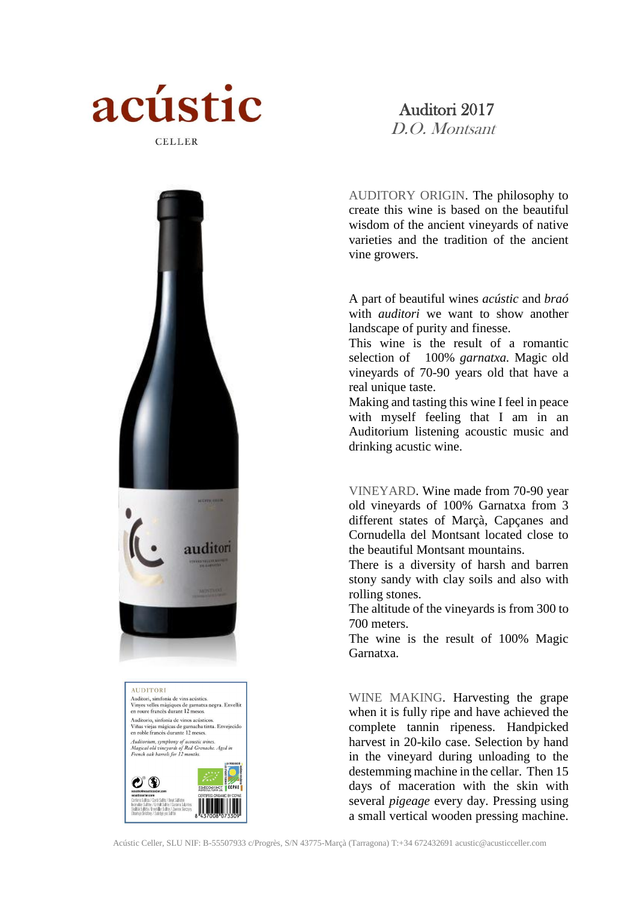

## Auditori 2017

D.O. Montsant

AUDITORY ORIGIN. The philosophy to create this wine is based on the beautiful wisdom of the ancient vineyards of native varieties and the tradition of the ancient vine growers.

A part of beautiful wines *acústic* and *braó* with *auditori* we want to show another landscape of purity and finesse.

This wine is the result of a romantic selection of 100% *garnatxa.* Magic old vineyards of 70-90 years old that have a real unique taste.

Making and tasting this wine I feel in peace with myself feeling that I am in an Auditorium listening acoustic music and drinking acustic wine.

VINEYARD. Wine made from 70-90 year old vineyards of 100% Garnatxa from 3 different states of Marçà, Capçanes and Cornudella del Montsant located close to the beautiful Montsant mountains.

There is a diversity of harsh and barren stony sandy with clay soils and also with rolling stones.

The altitude of the vineyards is from 300 to 700 meters.

The wine is the result of 100% Magic Garnatxa.

WINE MAKING. Harvesting the grape when it is fully ripe and have achieved the complete tannin ripeness. Handpicked harvest in 20-kilo case. Selection by hand in the vineyard during unloading to the destemming machine in the cellar. Then 15 days of maceration with the skin with several *pigeage* every day. Pressing using a small vertical wooden pressing machine.





**AUDITORI** Auditori, simfonia de vins acústics Vinyes velles màgiques de garnatxa negra. Envellit<br>en roure francès durant 12 mesos. Auditorio, sinfonía de vinos acústicos Numorio, simona de vinos acusticos.<br>Viñas viejas mágicas de garnacha tinta. Envejecido<br>en roble francés durante 12 meses. Auditorium, symphony of acoustic wines.<br>Magical old vineyards of Red Grenache. Aged in<br>French oak barrels for 12 months.

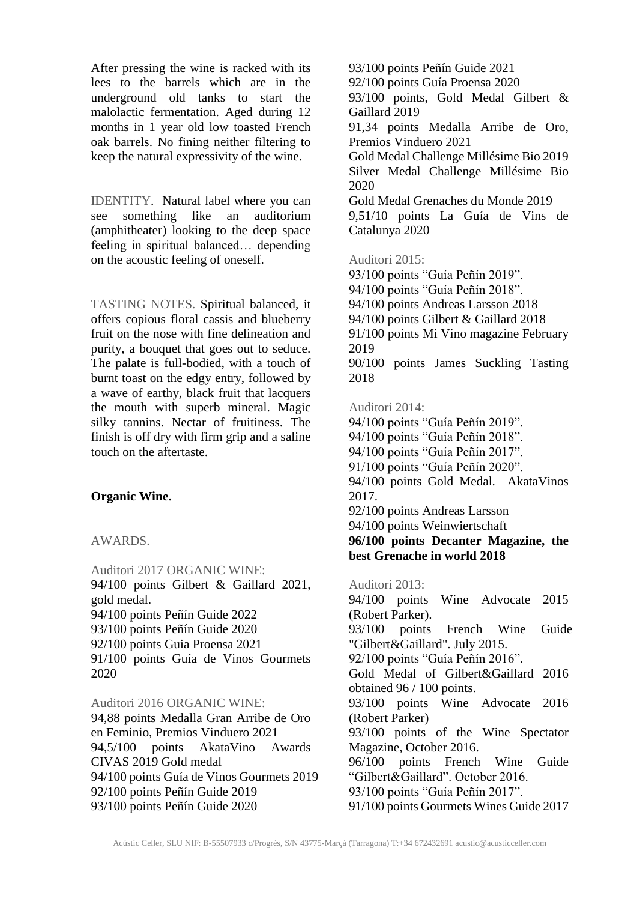After pressing the wine is racked with its lees to the barrels which are in the underground old tanks to start the malolactic fermentation. Aged during 12 months in 1 year old low toasted French oak barrels. No fining neither filtering to keep the natural expressivity of the wine.

IDENTITY. Natural label where you can see something like an auditorium (amphitheater) looking to the deep space feeling in spiritual balanced… depending on the acoustic feeling of oneself.

TASTING NOTES. Spiritual balanced, it offers copious floral cassis and blueberry fruit on the nose with fine delineation and purity, a bouquet that goes out to seduce. The palate is full-bodied, with a touch of burnt toast on the edgy entry, followed by a wave of earthy, black fruit that lacquers the mouth with superb mineral. Magic silky tannins. Nectar of fruitiness. The finish is off dry with firm grip and a saline touch on the aftertaste.

## **Organic Wine.**

AWARDS.

Auditori 2017 ORGANIC WINE: 94/100 points Gilbert & Gaillard 2021, gold medal. 94/100 points Peñín Guide 2022 93/100 points Peñín Guide 2020 92/100 points Guia Proensa 2021 91/100 points Guía de Vinos Gourmets 2020

Auditori 2016 ORGANIC WINE: 94,88 points Medalla Gran Arribe de Oro en Feminio, Premios Vinduero 2021 94,5/100 points AkataVino Awards CIVAS 2019 Gold medal 94/100 points Guía de Vinos Gourmets 2019 92/100 points Peñín Guide 2019 93/100 points Peñín Guide 2020

93/100 points Peñín Guide 2021 92/100 points Guía Proensa 2020 93/100 points, Gold Medal Gilbert & Gaillard 2019 91,34 points Medalla Arribe de Oro, Premios Vinduero 2021 Gold Medal Challenge Millésime Bio 2019 Silver Medal Challenge Millésime Bio 2020 Gold Medal Grenaches du Monde 2019 9,51/10 points La Guía de Vins de Catalunya 2020

## Auditori 2015:

93/100 points "Guía Peñín 2019". 94/100 points "Guía Peñín 2018". 94/100 points Andreas Larsson 2018 94/100 points Gilbert & Gaillard 2018 91/100 points Mi Vino magazine February 2019 90/100 points James Suckling Tasting 2018

## Auditori 2014:

94/100 points "Guía Peñín 2019". 94/100 points "Guía Peñín 2018". 94/100 points "Guía Peñín 2017". 91/100 points "Guía Peñín 2020". 94/100 points Gold Medal. AkataVinos 2017. 92/100 points Andreas Larsson 94/100 points Weinwiertschaft **96/100 points Decanter Magazine, the best Grenache in world 2018** Auditori 2013: 94/100 points Wine Advocate 2015 (Robert Parker). 93/100 points French Wine Guide

"Gilbert&Gaillard". July 2015.

92/100 points "Guía Peñín 2016".

Gold Medal of Gilbert&Gaillard 2016 obtained 96 / 100 points.

93/100 points Wine Advocate 2016 (Robert Parker)

93/100 points of the Wine Spectator Magazine, October 2016.

96/100 points French Wine Guide "Gilbert&Gaillard". October 2016.

93/100 points "Guía Peñín 2017".

91/100 points Gourmets Wines Guide 2017